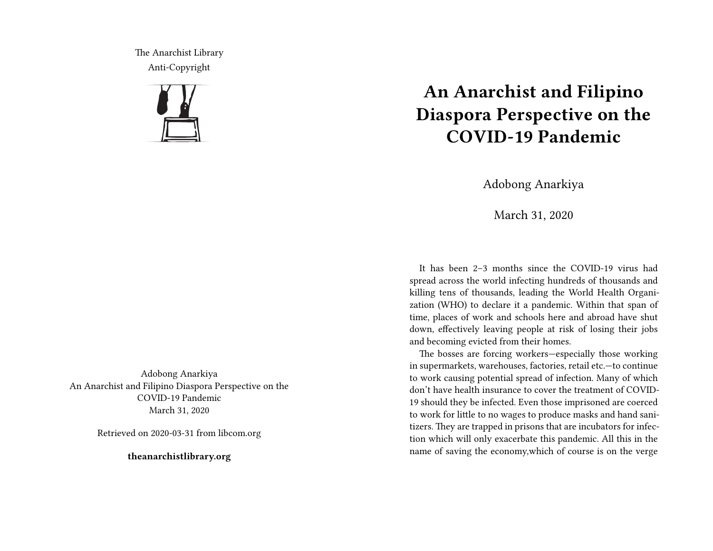The Anarchist Library Anti-Copyright



Adobong Anarkiya An Anarchist and Filipino Diaspora Perspective on the COVID-19 Pandemic March 31, 2020

Retrieved on 2020-03-31 from libcom.org

**theanarchistlibrary.org**

## **An Anarchist and Filipino Diaspora Perspective on the COVID-19 Pandemic**

Adobong Anarkiya

March 31, 2020

It has been 2–3 months since the COVID-19 virus had spread across the world infecting hundreds of thousands and killing tens of thousands, leading the World Health Organization (WHO) to declare it a pandemic. Within that span of time, places of work and schools here and abroad have shut down, effectively leaving people at risk of losing their jobs and becoming evicted from their homes.

The bosses are forcing workers—especially those working in supermarkets, warehouses, factories, retail etc.—to continue to work causing potential spread of infection. Many of which don't have health insurance to cover the treatment of COVID-19 should they be infected. Even those imprisoned are coerced to work for little to no wages to produce masks and hand sanitizers. They are trapped in prisons that are incubators for infection which will only exacerbate this pandemic. All this in the name of saving the economy,which of course is on the verge